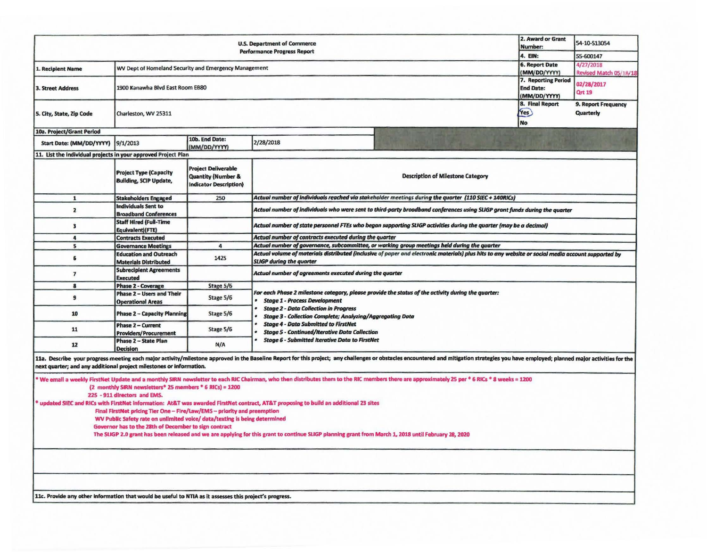| <b>U.S. Department of Commerce</b><br><b>Performance Progress Report</b>                                                                                                                                                                                                                                                                                                                                                                                                                                                                                                                                                                                                                                                                                                                                  |                                                                |                                                                                              |                                                                                                                                                                                                                                                                                                                                                                       |                                                                                                                                                                                                                                | 2. Award or Grant<br>Number:<br>4. EIN: | 54-10-S13054<br>55-600147        |  |  |
|-----------------------------------------------------------------------------------------------------------------------------------------------------------------------------------------------------------------------------------------------------------------------------------------------------------------------------------------------------------------------------------------------------------------------------------------------------------------------------------------------------------------------------------------------------------------------------------------------------------------------------------------------------------------------------------------------------------------------------------------------------------------------------------------------------------|----------------------------------------------------------------|----------------------------------------------------------------------------------------------|-----------------------------------------------------------------------------------------------------------------------------------------------------------------------------------------------------------------------------------------------------------------------------------------------------------------------------------------------------------------------|--------------------------------------------------------------------------------------------------------------------------------------------------------------------------------------------------------------------------------|-----------------------------------------|----------------------------------|--|--|
| 1. Recipient Name                                                                                                                                                                                                                                                                                                                                                                                                                                                                                                                                                                                                                                                                                                                                                                                         | WV Dept of Homeland Security and Emergency Management          |                                                                                              |                                                                                                                                                                                                                                                                                                                                                                       | <b>6. Report Date</b><br>(MM/DD/YYYY)                                                                                                                                                                                          | 4/27/2018<br>Revised Match 05/18/18     |                                  |  |  |
| <b>3. Street Address</b>                                                                                                                                                                                                                                                                                                                                                                                                                                                                                                                                                                                                                                                                                                                                                                                  | 1900 Kanawha Blvd East Room EB80                               |                                                                                              |                                                                                                                                                                                                                                                                                                                                                                       | 7. Reporting Period<br><b>End Date:</b><br>(MM/DD/YYYY)                                                                                                                                                                        | 02/28/2017<br><b>Qrt 19</b>             |                                  |  |  |
| 5. City, State, Zip Code                                                                                                                                                                                                                                                                                                                                                                                                                                                                                                                                                                                                                                                                                                                                                                                  | Charleston, WV 25311                                           |                                                                                              |                                                                                                                                                                                                                                                                                                                                                                       |                                                                                                                                                                                                                                | 8. Final Report<br>Yes<br><b>No</b>     | 9. Report Frequency<br>Quarterly |  |  |
| 10a. Project/Grant Period                                                                                                                                                                                                                                                                                                                                                                                                                                                                                                                                                                                                                                                                                                                                                                                 |                                                                |                                                                                              |                                                                                                                                                                                                                                                                                                                                                                       |                                                                                                                                                                                                                                |                                         |                                  |  |  |
| Start Date: (MM/DD/YYYY)                                                                                                                                                                                                                                                                                                                                                                                                                                                                                                                                                                                                                                                                                                                                                                                  | 9/1/2013                                                       | 10b. End Date:<br>(MM/DD/YYYY)                                                               | 2/28/2018                                                                                                                                                                                                                                                                                                                                                             |                                                                                                                                                                                                                                |                                         |                                  |  |  |
| 11. List the individual projects in your approved Project Plan                                                                                                                                                                                                                                                                                                                                                                                                                                                                                                                                                                                                                                                                                                                                            |                                                                |                                                                                              |                                                                                                                                                                                                                                                                                                                                                                       |                                                                                                                                                                                                                                |                                         |                                  |  |  |
|                                                                                                                                                                                                                                                                                                                                                                                                                                                                                                                                                                                                                                                                                                                                                                                                           | <b>Project Type (Capacity</b><br><b>Building, SCIP Update,</b> | <b>Project Deliverable</b><br><b>Quantity (Number &amp;</b><br><b>Indicator Description)</b> |                                                                                                                                                                                                                                                                                                                                                                       | <b>Description of Milestone Category</b>                                                                                                                                                                                       |                                         |                                  |  |  |
| $\mathbf{1}$                                                                                                                                                                                                                                                                                                                                                                                                                                                                                                                                                                                                                                                                                                                                                                                              | <b>Stakeholders Engaged</b>                                    | 250                                                                                          |                                                                                                                                                                                                                                                                                                                                                                       | Actual number of individuals reached via stakeholder meetings during the quarter (110 SIEC + 140RICs)                                                                                                                          |                                         |                                  |  |  |
| $\overline{2}$                                                                                                                                                                                                                                                                                                                                                                                                                                                                                                                                                                                                                                                                                                                                                                                            | <b>Individuals Sent to</b><br><b>Broadband Conferences</b>     |                                                                                              |                                                                                                                                                                                                                                                                                                                                                                       | Actual number of individuals who were sent to third-party broadband conferences using SLIGP grant funds during the quarter                                                                                                     |                                         |                                  |  |  |
| $\overline{\mathbf{3}}$                                                                                                                                                                                                                                                                                                                                                                                                                                                                                                                                                                                                                                                                                                                                                                                   | <b>Staff Hired (Full-Time</b><br>Equivalent) (FTE)             |                                                                                              |                                                                                                                                                                                                                                                                                                                                                                       | Actual number of state personnel FTEs who began supporting SLIGP activities during the quarter (may be a decimal)                                                                                                              |                                         |                                  |  |  |
| 4                                                                                                                                                                                                                                                                                                                                                                                                                                                                                                                                                                                                                                                                                                                                                                                                         | <b>Contracts Executed</b>                                      |                                                                                              | Actual number of contracts executed during the quarter                                                                                                                                                                                                                                                                                                                |                                                                                                                                                                                                                                |                                         |                                  |  |  |
| 5                                                                                                                                                                                                                                                                                                                                                                                                                                                                                                                                                                                                                                                                                                                                                                                                         | <b>Governance Meetings</b>                                     | 4                                                                                            |                                                                                                                                                                                                                                                                                                                                                                       | Actual number of governance, subcommittee, or working group meetings held during the quarter                                                                                                                                   |                                         |                                  |  |  |
| 6                                                                                                                                                                                                                                                                                                                                                                                                                                                                                                                                                                                                                                                                                                                                                                                                         | <b>Education and Outreach</b><br><b>Materials Distributed</b>  | 1425                                                                                         | Actual volume of materials distributed (inclusive of paper and electronic materials) plus hits to any website or social media account supported by<br><b>SLIGP during the quarter</b>                                                                                                                                                                                 |                                                                                                                                                                                                                                |                                         |                                  |  |  |
| $\overline{7}$                                                                                                                                                                                                                                                                                                                                                                                                                                                                                                                                                                                                                                                                                                                                                                                            | <b>Subrecipient Agreements</b><br><b>Executed</b>              |                                                                                              | Actual number of agreements executed during the quarter                                                                                                                                                                                                                                                                                                               |                                                                                                                                                                                                                                |                                         |                                  |  |  |
| 8                                                                                                                                                                                                                                                                                                                                                                                                                                                                                                                                                                                                                                                                                                                                                                                                         | <b>Phase 2 - Coverage</b>                                      | Stage 5/6                                                                                    |                                                                                                                                                                                                                                                                                                                                                                       |                                                                                                                                                                                                                                |                                         |                                  |  |  |
| 9                                                                                                                                                                                                                                                                                                                                                                                                                                                                                                                                                                                                                                                                                                                                                                                                         | Phase 2 - Users and Their<br><b>Operational Areas</b>          | Stage 5/6                                                                                    | For each Phase 2 milestone category, please provide the status of the activity during the quarter:<br><b>Stage 1 - Process Development</b><br><b>Stage 2 - Data Collection in Progress</b><br><b>Stage 3 - Collection Complete; Analyzing/Aggregating Data</b><br><b>Stage 4 - Data Submitted to FirstNet</b><br><b>Stage 5 - Continued/Iterative Data Collection</b> |                                                                                                                                                                                                                                |                                         |                                  |  |  |
| 10                                                                                                                                                                                                                                                                                                                                                                                                                                                                                                                                                                                                                                                                                                                                                                                                        | <b>Phase 2 - Capacity Planning</b>                             | Stage 5/6                                                                                    |                                                                                                                                                                                                                                                                                                                                                                       |                                                                                                                                                                                                                                |                                         |                                  |  |  |
| 11                                                                                                                                                                                                                                                                                                                                                                                                                                                                                                                                                                                                                                                                                                                                                                                                        | <b>Phase 2 - Current</b><br><b>Providers/Procurement</b>       | Stage 5/6                                                                                    |                                                                                                                                                                                                                                                                                                                                                                       |                                                                                                                                                                                                                                |                                         |                                  |  |  |
| 12                                                                                                                                                                                                                                                                                                                                                                                                                                                                                                                                                                                                                                                                                                                                                                                                        | Phase 2 - State Plan<br>Decision                               | N/A                                                                                          | <b>Stage 6 - Submitted Iterative Data to FirstNet</b>                                                                                                                                                                                                                                                                                                                 |                                                                                                                                                                                                                                |                                         |                                  |  |  |
| next quarter; and any additional project milestones or information.                                                                                                                                                                                                                                                                                                                                                                                                                                                                                                                                                                                                                                                                                                                                       |                                                                |                                                                                              |                                                                                                                                                                                                                                                                                                                                                                       | 11a. Describe your progress meeting each major activity/milestone approved in the Baseline Report for this project; any challenges or obstacles encountered and mitigation strategies you have employed; planned major activit |                                         |                                  |  |  |
| We email a weekly FirstNet Update and a monthly SIRN newsletter to each RIC Chairman, who then distributes them to the RIC members there are approximately 25 per * 6 RICs * 8 weeks = 1200<br>(2 monthly SIRN newsletters* 25 members * 6 RICs) = 1200<br>225 - 911 directors and EMS.<br>updated SIEC and RICs with FirstNet Information: At&T was awarded FirstNet contract, AT&T proposing to build an additional 23 sites<br>Final FirstNet pricing Tier One - Fire/Law/EMS - priority and preemption<br>WV Public Safety rate on unlimited voice/ data/texting is being determined<br>Governor has to the 28th of December to sign contract<br>The SLIGP 2.0 grant has been released and we are applying for this grant to continue SLIGP planning grant from March 1, 2018 until February 28, 2020 |                                                                |                                                                                              |                                                                                                                                                                                                                                                                                                                                                                       |                                                                                                                                                                                                                                |                                         |                                  |  |  |
|                                                                                                                                                                                                                                                                                                                                                                                                                                                                                                                                                                                                                                                                                                                                                                                                           |                                                                |                                                                                              |                                                                                                                                                                                                                                                                                                                                                                       |                                                                                                                                                                                                                                |                                         |                                  |  |  |
|                                                                                                                                                                                                                                                                                                                                                                                                                                                                                                                                                                                                                                                                                                                                                                                                           |                                                                |                                                                                              |                                                                                                                                                                                                                                                                                                                                                                       |                                                                                                                                                                                                                                |                                         |                                  |  |  |
| 11c. Provide any other information that would be useful to NTIA as it assesses this project's progress.                                                                                                                                                                                                                                                                                                                                                                                                                                                                                                                                                                                                                                                                                                   |                                                                |                                                                                              |                                                                                                                                                                                                                                                                                                                                                                       |                                                                                                                                                                                                                                |                                         |                                  |  |  |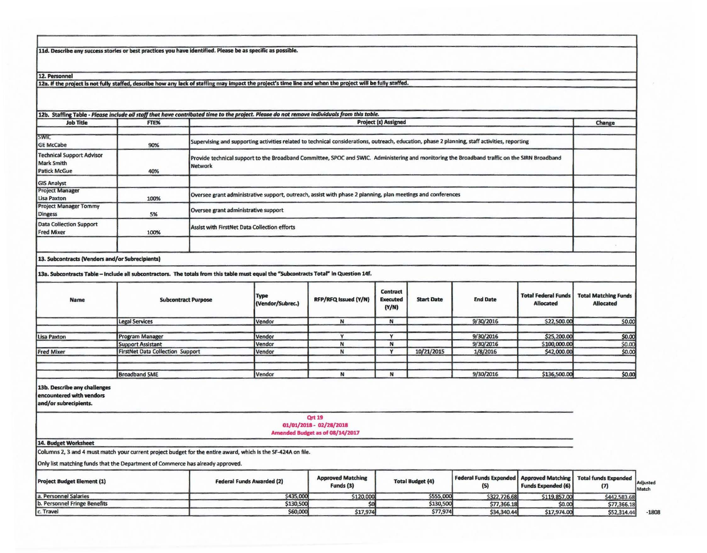11d. Describe any success stories or best practices you have identified. Please be as specific as possible.

12. Personnel

12a. If the project is not fully staffed, describe how any lack of staffing may impact the project's time line and when the project will be fully staffed.

| <b>Job Title</b>                                                             | FTE% | <b>Project (s) Assigned</b>                                                                                                                              | Change |
|------------------------------------------------------------------------------|------|----------------------------------------------------------------------------------------------------------------------------------------------------------|--------|
| <b>ISWIC</b><br><b>GE McCabe</b>                                             | 90%  | Supervising and supporting activities related to technical considerations, outreach, education, phase 2 planning, staff activities, reporting            |        |
| <b>Technical Support Advisor</b><br><b>Mark Smith</b><br><b>Patick McGue</b> | 40%  | Provide technical support to the Broadband Committee, SPOC and SWIC. Administering and monitoring the Broadband traffic on the SIRN Broadband<br>Network |        |
| <b>GIS Analyst</b>                                                           |      |                                                                                                                                                          |        |
| <b>Project Manager</b><br>Lisa Paxton                                        | 100% | Oversee grant administrative support, outreach, assist with phase 2 planning, plan meetings and conferences                                              |        |
| <b>Project Manager Tommy</b><br>Dingess                                      | 5%   | Oversee grant administrative support                                                                                                                     |        |
| <b>Data Collection Support</b><br><b>Fred Mixer</b>                          | 100% | Assist with FirstNet Data Collection efforts                                                                                                             |        |
|                                                                              |      |                                                                                                                                                          |        |

13. Subcontracts (Vendors and/or Subrecipients)

13a. Subcontracts Table - Include all subcontractors. The totals from this table must equal the "Subcontracts Total" in Question 14f.

| Name              | <b>Subcontract Purpose</b>              | <b>Type</b><br>(Vendor/Subrec.) | RFP/RFQ issued (Y/N) | Contract<br><b>Executed</b><br>(Y/N) | <b>Start Date</b> | <b>End Date</b> | <b>Total Federal Funds</b><br>Allocated | <b>Total Matching Funds</b><br><b>Allocated</b> |
|-------------------|-----------------------------------------|---------------------------------|----------------------|--------------------------------------|-------------------|-----------------|-----------------------------------------|-------------------------------------------------|
|                   | <b>Legal Services</b>                   | <b>IVendor</b>                  |                      | N                                    |                   | 9/30/2016       | \$22,500.00                             | \$0.00                                          |
| Lisa Paxton       | <b>Program Manager</b>                  | Vendor                          |                      |                                      |                   | 9/30/2016       | \$25,200.00                             | \$0.00                                          |
|                   | Support Assistant                       | <i><u><b>Vendor</b></u></i>     |                      | N                                    |                   | 9/30/2016       | \$100,000.00                            | \$0.00                                          |
| <b>Fred Mixer</b> | <b>FirstNet Data Collection Support</b> | Vendor                          |                      |                                      | 10/21/2015        | 1/8/2016        | \$42,000.00                             | \$0.00                                          |
|                   | <b>Broadband SME</b>                    | <b>Vendor</b>                   |                      | N                                    |                   | 9/30/2016       | \$136,500.00                            | \$0.00                                          |

## 13b. Describe any challenges

encountered with vendors

and/or subrecipients.

**Qrt 19** 

01/01/2018 - 02/28/2018

## Amended Budget as of 08/14/2017

## 14. Budget Worksheet

Columns 2, 3 and 4 must match your current project budget for the entire award, which is the SF-424A on file.

Only list matching funds that the Department of Commerce has already approved.

| <b>Project Budget Element (1)</b> | <b>Federal Funds Awarded (2)</b> | <b>Approved Matching</b><br>Funds (3) | <b>Total Budget (4)</b> | Federal Funds Expended   Approved Matching   Total funds Expended | <b>Funds Expended (6)</b> |              | Adjusted<br>Match |
|-----------------------------------|----------------------------------|---------------------------------------|-------------------------|-------------------------------------------------------------------|---------------------------|--------------|-------------------|
| a. Personnel Salaries             | \$435,000                        | \$120,000                             | \$555,000               | \$322,726.68                                                      | \$119,857.00              | \$442,583.68 |                   |
| b. Personnel Fringe Benefits      | \$130,500                        |                                       | \$130,500               | \$77,366.18                                                       | \$0.00                    | \$77,366.18  |                   |
| c. Travel                         | \$60,000                         | \$17,974                              | \$77,974                | \$34,340.44                                                       | \$17,974.00               | \$52,314.44  | $-1808$           |